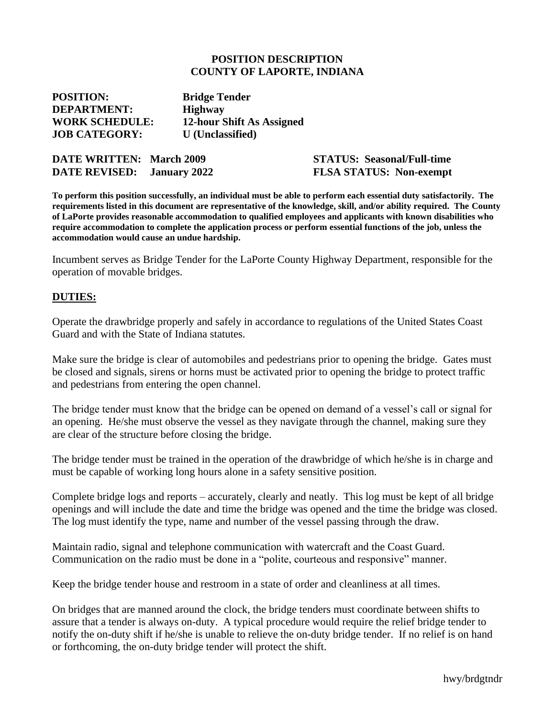#### **POSITION DESCRIPTION COUNTY OF LAPORTE, INDIANA**

| <b>POSITION:</b>      | <b>Bridge Tender</b>      |
|-----------------------|---------------------------|
| <b>DEPARTMENT:</b>    | <b>Highway</b>            |
| <b>WORK SCHEDULE:</b> | 12-hour Shift As Assigned |
| <b>JOB CATEGORY:</b>  | <b>U</b> (Unclassified)   |

| <b>DATE WRITTEN: March 2009</b> |                     |
|---------------------------------|---------------------|
| <b>DATE REVISED:</b>            | <b>January 2022</b> |

**DATE WRITTEN: March 2009 STATUS: Seasonal/Full-time DATE REVISED: January 2022 FLSA STATUS: Non-exempt**

**To perform this position successfully, an individual must be able to perform each essential duty satisfactorily. The requirements listed in this document are representative of the knowledge, skill, and/or ability required. The County of LaPorte provides reasonable accommodation to qualified employees and applicants with known disabilities who require accommodation to complete the application process or perform essential functions of the job, unless the accommodation would cause an undue hardship.**

Incumbent serves as Bridge Tender for the LaPorte County Highway Department, responsible for the operation of movable bridges.

#### **DUTIES:**

Operate the drawbridge properly and safely in accordance to regulations of the United States Coast Guard and with the State of Indiana statutes.

Make sure the bridge is clear of automobiles and pedestrians prior to opening the bridge. Gates must be closed and signals, sirens or horns must be activated prior to opening the bridge to protect traffic and pedestrians from entering the open channel.

The bridge tender must know that the bridge can be opened on demand of a vessel's call or signal for an opening. He/she must observe the vessel as they navigate through the channel, making sure they are clear of the structure before closing the bridge.

The bridge tender must be trained in the operation of the drawbridge of which he/she is in charge and must be capable of working long hours alone in a safety sensitive position.

Complete bridge logs and reports – accurately, clearly and neatly. This log must be kept of all bridge openings and will include the date and time the bridge was opened and the time the bridge was closed. The log must identify the type, name and number of the vessel passing through the draw.

Maintain radio, signal and telephone communication with watercraft and the Coast Guard. Communication on the radio must be done in a "polite, courteous and responsive" manner.

Keep the bridge tender house and restroom in a state of order and cleanliness at all times.

On bridges that are manned around the clock, the bridge tenders must coordinate between shifts to assure that a tender is always on-duty. A typical procedure would require the relief bridge tender to notify the on-duty shift if he/she is unable to relieve the on-duty bridge tender. If no relief is on hand or forthcoming, the on-duty bridge tender will protect the shift.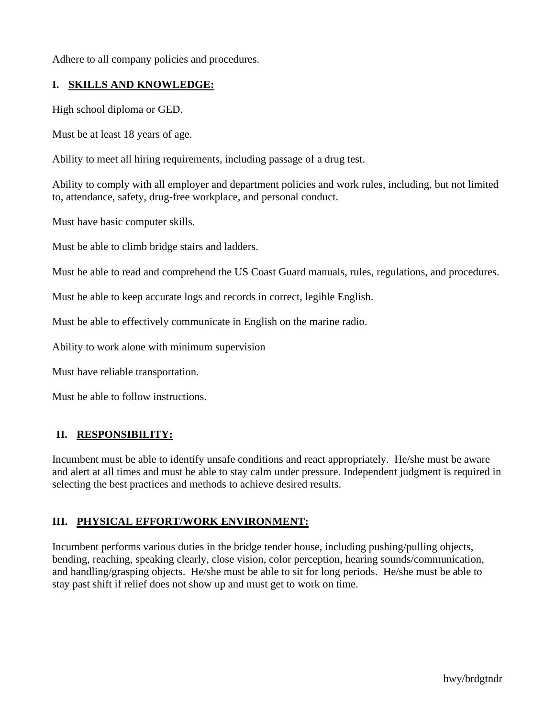Adhere to all company policies and procedures.

# **I. SKILLS AND KNOWLEDGE:**

High school diploma or GED.

Must be at least 18 years of age.

Ability to meet all hiring requirements, including passage of a drug test.

Ability to comply with all employer and department policies and work rules, including, but not limited to, attendance, safety, drug-free workplace, and personal conduct.

Must have basic computer skills.

Must be able to climb bridge stairs and ladders.

Must be able to read and comprehend the US Coast Guard manuals, rules, regulations, and procedures.

Must be able to keep accurate logs and records in correct, legible English.

Must be able to effectively communicate in English on the marine radio.

Ability to work alone with minimum supervision

Must have reliable transportation.

Must be able to follow instructions.

## **II. RESPONSIBILITY:**

Incumbent must be able to identify unsafe conditions and react appropriately. He/she must be aware and alert at all times and must be able to stay calm under pressure. Independent judgment is required in selecting the best practices and methods to achieve desired results.

## **III. PHYSICAL EFFORT/WORK ENVIRONMENT:**

Incumbent performs various duties in the bridge tender house, including pushing/pulling objects, bending, reaching, speaking clearly, close vision, color perception, hearing sounds/communication, and handling/grasping objects. He/she must be able to sit for long periods. He/she must be able to stay past shift if relief does not show up and must get to work on time.